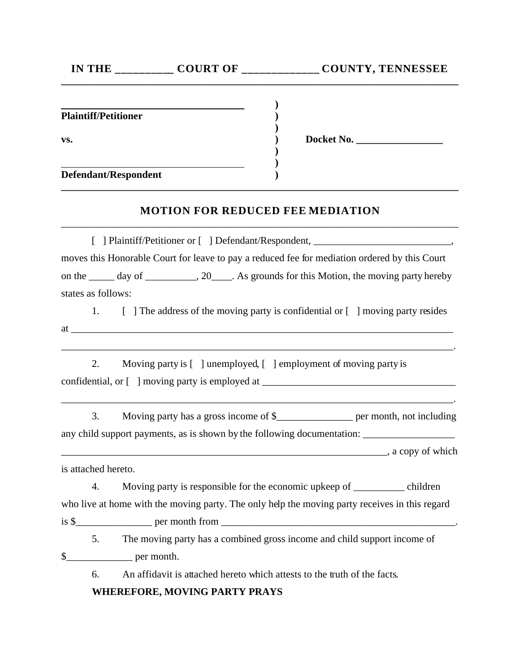|                             |                                                                                                                      | IN THE ____________ COURT OF ______________ COUNTY, TENNESSEE                                                                                                                              |
|-----------------------------|----------------------------------------------------------------------------------------------------------------------|--------------------------------------------------------------------------------------------------------------------------------------------------------------------------------------------|
|                             | <u> 1989 - Johann Stoff, deutscher Stoff, deutscher Stoff, der Stoff, der Stoff, der Stoff, der Stoff, der Stoff</u> |                                                                                                                                                                                            |
| <b>Plaintiff/Petitioner</b> |                                                                                                                      |                                                                                                                                                                                            |
| VS.                         |                                                                                                                      | Docket No.                                                                                                                                                                                 |
|                             |                                                                                                                      |                                                                                                                                                                                            |
| <b>Defendant/Respondent</b> |                                                                                                                      |                                                                                                                                                                                            |
|                             | <b>MOTION FOR REDUCED FEE MEDIATION</b>                                                                              |                                                                                                                                                                                            |
|                             |                                                                                                                      | [ ] Plaintiff/Petitioner or [ ] Defendant/Respondent, __________________________                                                                                                           |
|                             |                                                                                                                      | moves this Honorable Court for leave to pay a reduced fee for mediation ordered by this Court                                                                                              |
|                             |                                                                                                                      | on the ______ day of ___________, 20_____. As grounds for this Motion, the moving party hereby                                                                                             |
| states as follows:          |                                                                                                                      |                                                                                                                                                                                            |
|                             |                                                                                                                      | 1. [ ] The address of the moving party is confidential or [ ] moving party resides                                                                                                         |
|                             |                                                                                                                      |                                                                                                                                                                                            |
| 2.                          |                                                                                                                      | <u> 1989 - Johann Barbara, martin da basar da basar da basar da basar da basar da basar da basar da basar da basa</u><br>Moving party is [ ] unemployed, [ ] employment of moving party is |
|                             |                                                                                                                      |                                                                                                                                                                                            |
| 3.                          |                                                                                                                      | Moving party has a gross income of \$____________________ per month, not including                                                                                                         |
|                             |                                                                                                                      | any child support payments, as is shown by the following documentation: ____________________________                                                                                       |
|                             |                                                                                                                      | a copy of which, a copy of which                                                                                                                                                           |
| is attached hereto.         |                                                                                                                      |                                                                                                                                                                                            |
| 4.                          |                                                                                                                      | Moving party is responsible for the economic upkeep of ________ children                                                                                                                   |
|                             |                                                                                                                      | who live at home with the moving party. The only help the moving party receives in this regard                                                                                             |
|                             |                                                                                                                      |                                                                                                                                                                                            |
|                             |                                                                                                                      | 5. The moving party has a combined gross income and child support income of                                                                                                                |
| $\frac{1}{2}$ per month.    |                                                                                                                      |                                                                                                                                                                                            |
| 6.                          | An affidavit is attached hereto which attests to the truth of the facts.                                             |                                                                                                                                                                                            |
|                             | <b>WHEREFORE, MOVING PARTY PRAYS</b>                                                                                 |                                                                                                                                                                                            |
|                             |                                                                                                                      |                                                                                                                                                                                            |